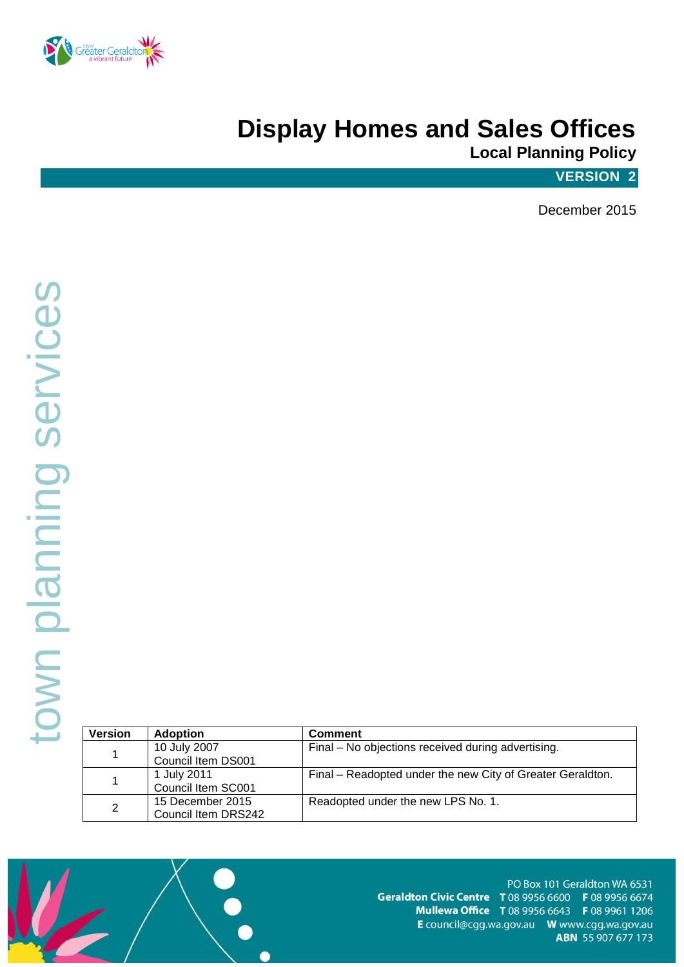

# **Display Homes and Sales Offices**

**Local Planning Policy**

### **VERSION 2**

December 2015

| <b>Version</b> | <b>Adoption</b>     | <b>Comment</b>                                             |
|----------------|---------------------|------------------------------------------------------------|
|                | 10 July 2007        | Final – No objections received during advertising.         |
|                | Council Item DS001  |                                                            |
|                | 1 July 2011         | Final – Readopted under the new City of Greater Geraldton. |
|                | Council Item SC001  |                                                            |
| $\overline{2}$ | 15 December 2015    | Readopted under the new LPS No. 1.                         |
|                | Council Item DRS242 |                                                            |

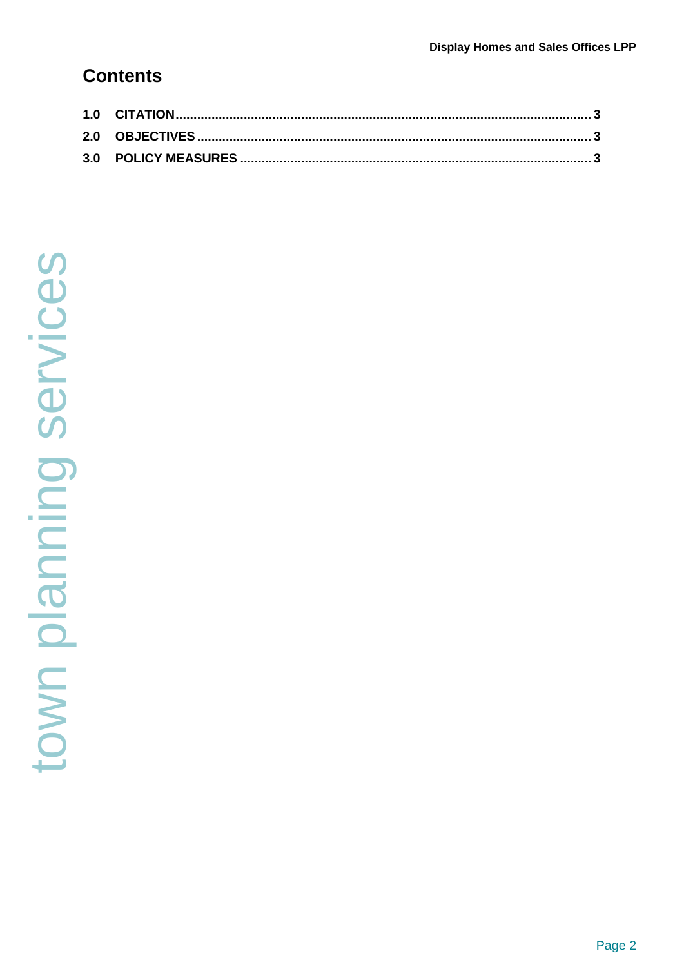## **Contents**